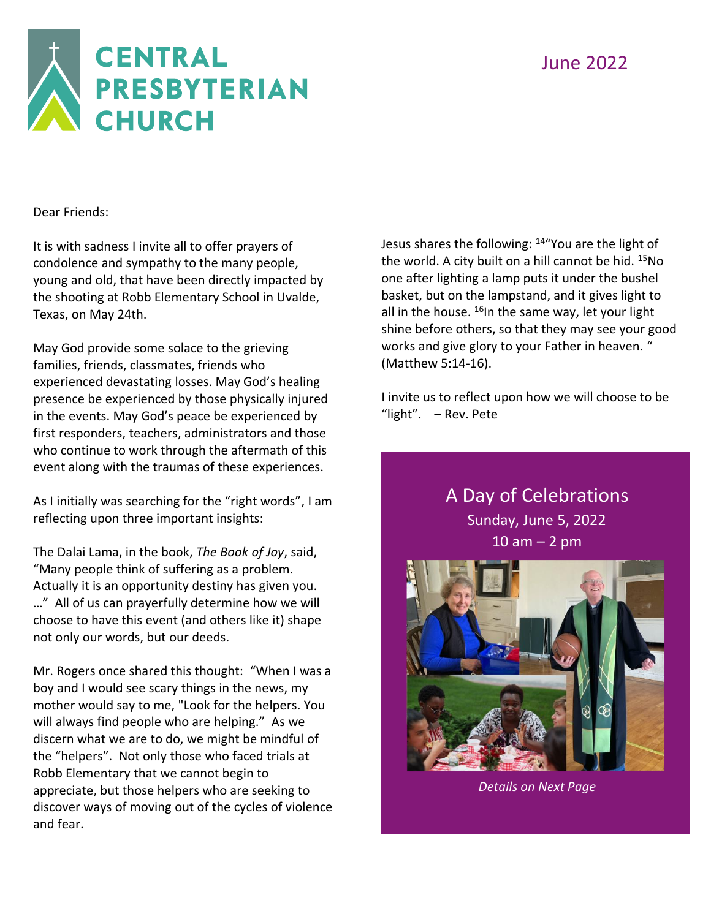### June 2022



Dear Friends:

It is with sadness I invite all to offer prayers of condolence and sympathy to the many people, young and old, that have been directly impacted by the shooting at Robb Elementary School in Uvalde, Texas, on May 24th.

May God provide some solace to the grieving families, friends, classmates, friends who experienced devastating losses. May God's healing presence be experienced by those physically injured in the events. May God's peace be experienced by first responders, teachers, administrators and those who continue to work through the aftermath of this event along with the traumas of these experiences.

As I initially was searching for the "right words", I am reflecting upon three important insights:

The Dalai Lama, in the book, *The Book of Joy*, said, "Many people think of suffering as a problem. Actually it is an opportunity destiny has given you. …" All of us can prayerfully determine how we will choose to have this event (and others like it) shape not only our words, but our deeds.

Mr. Rogers once shared this thought: "When I was a boy and I would see scary things in the news, my mother would say to me, "Look for the helpers. You will always find people who are helping." As we discern what we are to do, we might be mindful of the "helpers". Not only those who faced trials at Robb Elementary that we cannot begin to appreciate, but those helpers who are seeking to discover ways of moving out of the cycles of violence and fear.

Jesus shares the following: <sup>14</sup>"You are the light of the world. A city built on a hill cannot be hid.  $15No$ one after lighting a lamp puts it under the bushel basket, but on the lampstand, and it gives light to all in the house.  $^{16}$ In the same way, let your light shine before others, so that they may see your good works and give glory to your Father in heaven. " (Matthew 5:14-16).

I invite us to reflect upon how we will choose to be "light". – Rev. Pete

> A Day of Celebrations Sunday, June 5, 2022  $10$  am  $-$  2 pm



*Details on Next Page*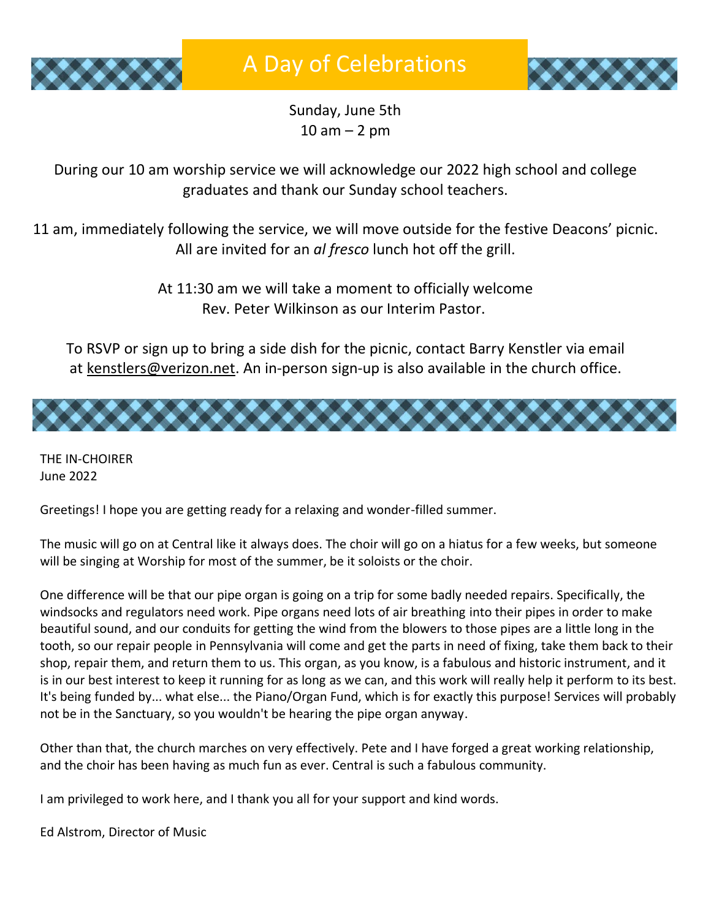



Sunday, June 5th  $10$  am  $-$  2 pm

During our 10 am worship service we will acknowledge our 2022 high school and college graduates and thank our Sunday school teachers.

11 am, immediately following the service, we will move outside for the festive Deacons' picnic. All are invited for an *al fresco* lunch hot off the grill.

> At 11:30 am we will take a moment to officially welcome Rev. Peter Wilkinson as our Interim Pastor.

To RSVP or sign up to bring a side dish for the picnic, contact Barry Kenstler via email at [kenstlers@verizon.net.](mailto:kenstlers@verizon.net) An in-person sign-up is also available in the church office.



THE IN-CHOIRER June 2022

Greetings! I hope you are getting ready for a relaxing and wonder-filled summer.

The music will go on at Central like it always does. The choir will go on a hiatus for a few weeks, but someone will be singing at Worship for most of the summer, be it soloists or the choir.

One difference will be that our pipe organ is going on a trip for some badly needed repairs. Specifically, the windsocks and regulators need work. Pipe organs need lots of air breathing into their pipes in order to make beautiful sound, and our conduits for getting the wind from the blowers to those pipes are a little long in the tooth, so our repair people in Pennsylvania will come and get the parts in need of fixing, take them back to their shop, repair them, and return them to us. This organ, as you know, is a fabulous and historic instrument, and it is in our best interest to keep it running for as long as we can, and this work will really help it perform to its best. It's being funded by... what else... the Piano/Organ Fund, which is for exactly this purpose! Services will probably not be in the Sanctuary, so you wouldn't be hearing the pipe organ anyway.

Other than that, the church marches on very effectively. Pete and I have forged a great working relationship, and the choir has been having as much fun as ever. Central is such a fabulous community.

I am privileged to work here, and I thank you all for your support and kind words.

Ed Alstrom, Director of Music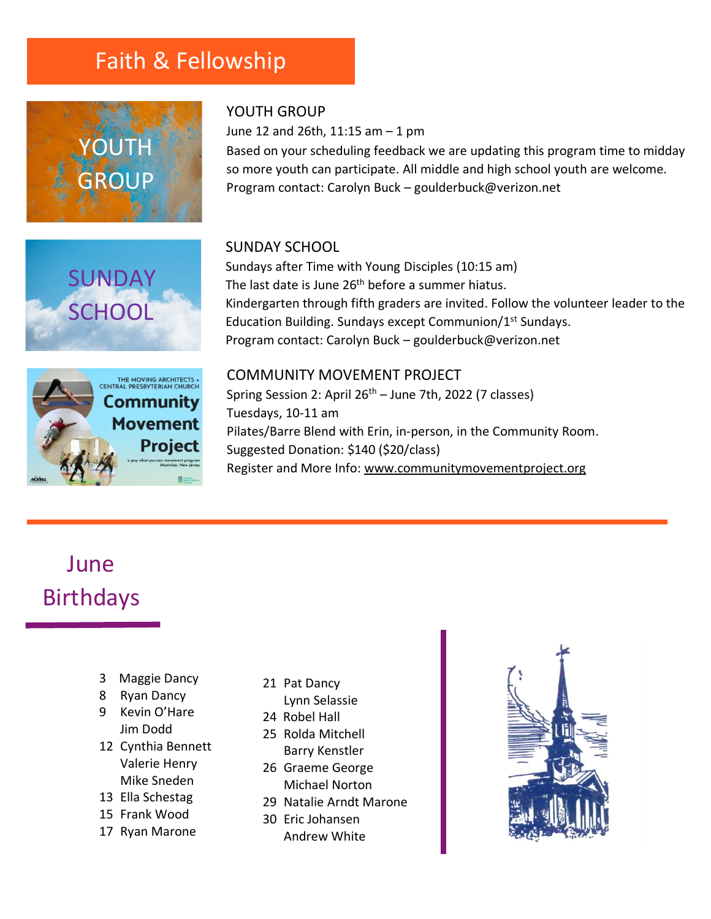### Faith & Fellowship



**SUNDAY** 

**SCHOOL** 



June 12 and 26th, 11:15 am – 1 pm

Based on your scheduling feedback we are updating this program time to midday so more youth can participate. All middle and high school youth are welcome. Program contact: Carolyn Buck – goulderbuck@verizon.net

#### SUNDAY SCHOOL

Sundays after Time with Young Disciples (10:15 am) The last date is June 26<sup>th</sup> before a summer hiatus. Kindergarten through fifth graders are invited. Follow the volunteer leader to the Education Building. Sundays except Communion/1st Sundays. Program contact: Carolyn Buck – goulderbuck@verizon.net



#### COMMUNITY MOVEMENT PROJECT

Spring Session 2: April  $26<sup>th</sup>$  – June 7th, 2022 (7 classes) Tuesdays, 10-11 am Pilates/Barre Blend with Erin, in-person, in the Community Room. Suggested Donation: \$140 (\$20/class) Register and More Info: [www.communitymovementproject.org](http://www.communitymovementproject.org/)

# June Birthdays

- 3 Maggie Dancy
- 8 Ryan Dancy
- 9 Kevin O'Hare Jim Dodd
- 12 Cynthia Bennett Valerie Henry Mike Sneden
- 13 Ella Schestag
- 15 Frank Wood
- 17 Ryan Marone
- 21 Pat Dancy
- Lynn Selassie
- 24 Robel Hall
- 25 Rolda Mitchell Barry Kenstler
- 26 Graeme George Michael Norton
- 29 Natalie Arndt Marone
- 30 Eric Johansen Andrew White

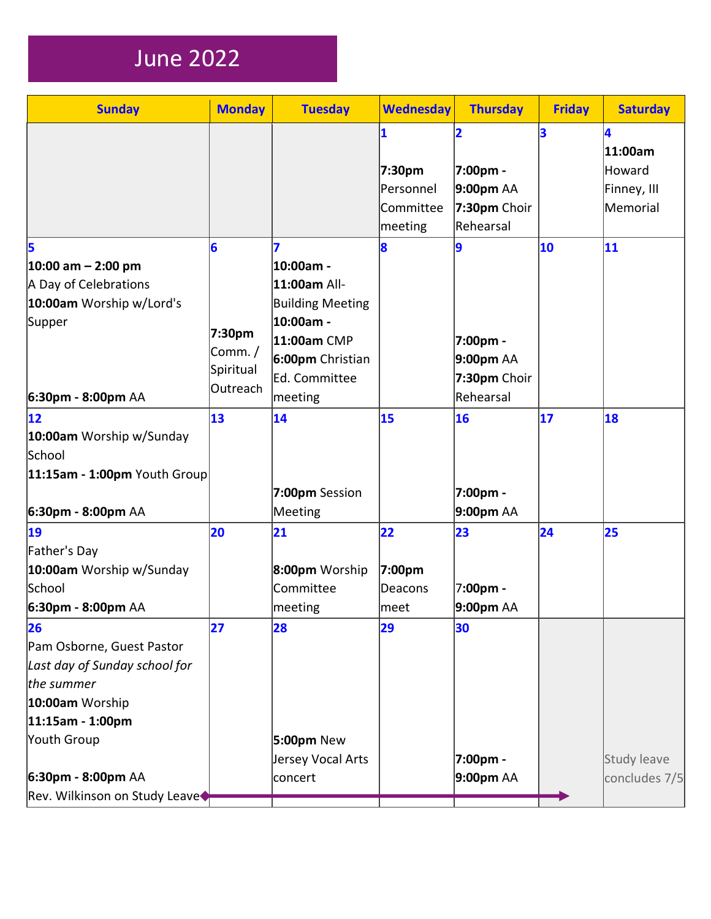# June 2022

| <b>Sunday</b>                                                                                                                                                                                    | <b>Monday</b>                                  | <b>Tuesday</b>                                                                                                                        | <b>Wednesday</b>                                                       | <b>Thursday</b>                                                      | <b>Friday</b> | <b>Saturday</b>                                   |
|--------------------------------------------------------------------------------------------------------------------------------------------------------------------------------------------------|------------------------------------------------|---------------------------------------------------------------------------------------------------------------------------------------|------------------------------------------------------------------------|----------------------------------------------------------------------|---------------|---------------------------------------------------|
|                                                                                                                                                                                                  |                                                |                                                                                                                                       | $\overline{\mathbf{1}}$<br>7:30pm<br>Personnel<br>Committee<br>meeting | 2<br>7:00pm -<br>9:00pm AA<br>7:30pm Choir<br>Rehearsal              | 3             | 4<br>11:00am<br>Howard<br>Finney, III<br>Memorial |
| 5<br>$ 10:00 \text{ am} - 2:00 \text{ pm} $<br>A Day of Celebrations<br>10:00am Worship w/Lord's<br>Supper<br>6:30pm - 8:00pm AA                                                                 | 6<br>7:30pm<br>Comm./<br>Spiritual<br>Outreach | 7<br>10:00am -<br>11:00am All-<br><b>Building Meeting</b><br>10:00am -<br>11:00am CMP<br>6:00pm Christian<br>Ed. Committee<br>meeting | 8                                                                      | $\overline{9}$<br>7:00pm -<br>9:00pm AA<br>7:30pm Choir<br>Rehearsal | 10            | 11                                                |
| 12<br>10:00am Worship w/Sunday<br>School<br>$11:15$ am - 1:00pm Youth Group<br>6:30pm - 8:00pm AA                                                                                                | $\overline{13}$                                | 14<br>7:00pm Session<br>Meeting                                                                                                       | 15                                                                     | 16<br>7:00pm -<br>9:00pm AA                                          | 17            | 18                                                |
| 19<br>Father's Day<br>10:00am Worship w/Sunday<br>School<br>6:30pm - 8:00pm AA                                                                                                                   | 20                                             | 21<br>8:00pm Worship<br>Committee<br>meeting                                                                                          | 22<br>7:00pm<br>Deacons<br>∣meet                                       | 23<br>7:00pm -<br>9:00pm AA                                          | 24            | 25                                                |
| 26<br>Pam Osborne, Guest Pastor<br>Last day of Sunday school for<br>the summer<br>10:00am Worship<br>$ 11:15$ am - 1:00pm<br>Youth Group<br>6:30pm - 8:00pm AA<br>Rev. Wilkinson on Study Leave◆ | 27                                             | 28<br>5:00pm New<br>Jersey Vocal Arts<br>concert                                                                                      | 29                                                                     | 30<br>7:00pm -<br>9:00pm AA                                          |               | <b>Study leave</b><br>concludes 7/5               |